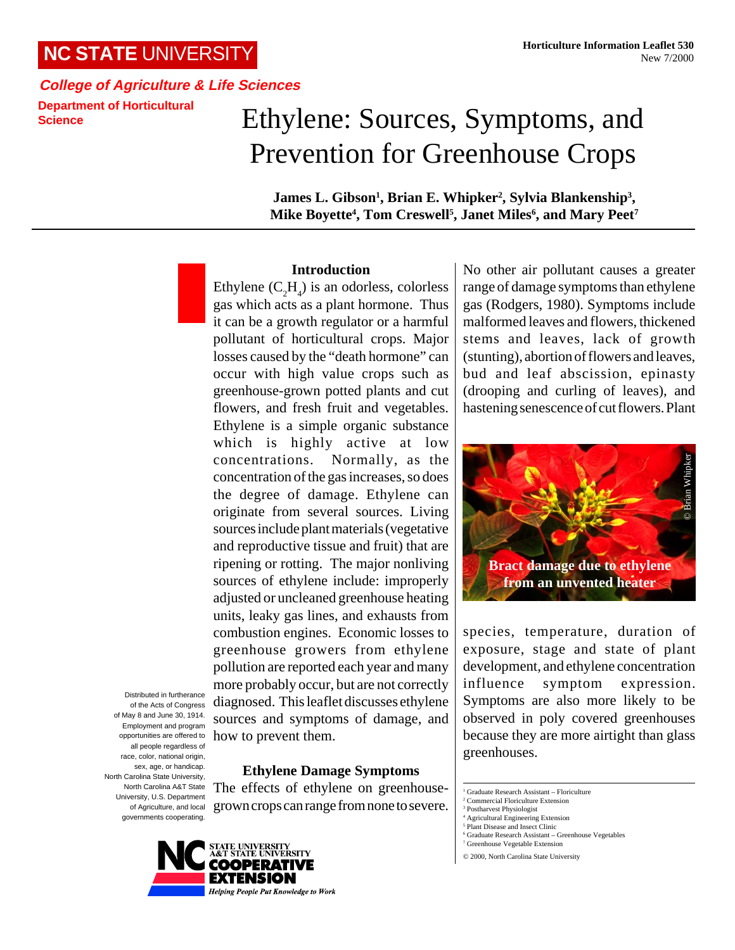**College of Agriculture & Life Sciences Department of Horticultural Science**

# Ethylene: Sources, Symptoms, and Prevention for Greenhouse Crops

James L. Gibson<sup>1</sup>, Brian E. Whipker<sup>2</sup>, Sylvia Blankenship<sup>3</sup>, **Mike Boyette4 , Tom Creswell5 , Janet Miles6 , and Mary Peet7**

## **Introduction**

opportunities are offered to how to prevent them. Ethylene  $(C_2H_4)$  is an odorless, colorless gas which acts as a plant hormone. Thus it can be a growth regulator or a harmful pollutant of horticultural crops. Major losses caused by the "death hormone" can occur with high value crops such as greenhouse-grown potted plants and cut flowers, and fresh fruit and vegetables. Ethylene is a simple organic substance which is highly active at low concentrations. Normally, as the concentration of the gas increases, so does the degree of damage. Ethylene can originate from several sources. Living sources include plant materials (vegetative and reproductive tissue and fruit) that are ripening or rotting. The major nonliving sources of ethylene include: improperly adjusted or uncleaned greenhouse heating units, leaky gas lines, and exhausts from combustion engines. Economic losses to greenhouse growers from ethylene pollution are reported each year and many more probably occur, but are not correctly diagnosed. This leaflet discusses ethylene sources and symptoms of damage, and

Distributed in furtherance of the Acts of Congress of May 8 and June 30, 1914. Employment and program all people regardless of race, color, national origin, sex, age, or handicap. North Carolina State University, North Carolina A&T State University, U.S. Department of Agriculture, and local governments cooperating.

**Ethylene Damage Symptoms**

The effects of ethylene on greenhousegrown crops can range from none to severe.



No other air pollutant causes a greater range of damage symptoms than ethylene gas (Rodgers, 1980). Symptoms include malformed leaves and flowers, thickened stems and leaves, lack of growth (stunting), abortion of flowers and leaves, bud and leaf abscission, epinasty (drooping and curling of leaves), and hastening senescence of cut flowers. Plant



species, temperature, duration of exposure, stage and state of plant development, and ethylene concentration influence symptom expression. Symptoms are also more likely to be observed in poly covered greenhouses because they are more airtight than glass greenhouses.

7 Greenhouse Vegetable Extension

<sup>1</sup> Graduate Research Assistant – Floriculture

<sup>2</sup> Commercial Floriculture Extension

<sup>3</sup> Postharvest Physiologist 4 Agricultural Engineering Extension

<sup>5</sup> Plant Disease and Insect Clinic

<sup>6</sup> Graduate Research Assistant – Greenhouse Vegetables

<sup>© 2000,</sup> North Carolina State University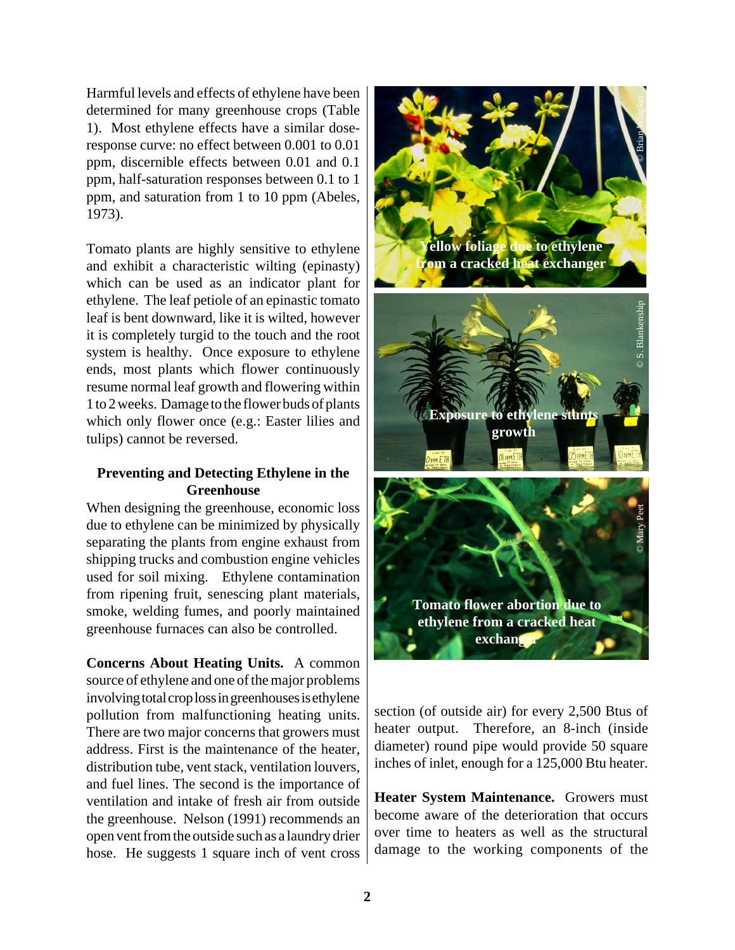Harmful levels and effects of ethylene have been determined for many greenhouse crops (Table 1). Most ethylene effects have a similar doseresponse curve: no effect between 0.001 to 0.01 ppm, discernible effects between 0.01 and 0.1 ppm, half-saturation responses between 0.1 to 1 ppm, and saturation from 1 to 10 ppm (Abeles, 1973).

Tomato plants are highly sensitive to ethylene and exhibit a characteristic wilting (epinasty) which can be used as an indicator plant for ethylene. The leaf petiole of an epinastic tomato leaf is bent downward, like it is wilted, however it is completely turgid to the touch and the root system is healthy. Once exposure to ethylene ends, most plants which flower continuously resume normal leaf growth and flowering within 1 to 2 weeks. Damage to the flower buds of plants which only flower once (e.g.: Easter lilies and tulips) cannot be reversed.

# **Preventing and Detecting Ethylene in the Greenhouse**

When designing the greenhouse, economic loss due to ethylene can be minimized by physically separating the plants from engine exhaust from shipping trucks and combustion engine vehicles used for soil mixing. Ethylene contamination from ripening fruit, senescing plant materials, smoke, welding fumes, and poorly maintained greenhouse furnaces can also be controlled.

**Concerns About Heating Units.** A common source of ethylene and one of the major problems involving total crop loss in greenhouses is ethylene pollution from malfunctioning heating units. There are two major concerns that growers must address. First is the maintenance of the heater, distribution tube, vent stack, ventilation louvers, and fuel lines. The second is the importance of ventilation and intake of fresh air from outside the greenhouse. Nelson (1991) recommends an open vent from the outside such as a laundry drier hose. He suggests 1 square inch of vent cross

**Yellow foliage due to ethylene from a cracked heat exchanger Exposure to ethylene growth** © Brian Whipker © S. Blankenship

section (of outside air) for every 2,500 Btus of heater output. Therefore, an 8-inch (inside diameter) round pipe would provide 50 square inches of inlet, enough for a 125,000 Btu heater.

**Tomato flower abortion due to ethylene from a cracked heat exchange** 

© Mary Peet

**Heater System Maintenance.** Growers must become aware of the deterioration that occurs over time to heaters as well as the structural damage to the working components of the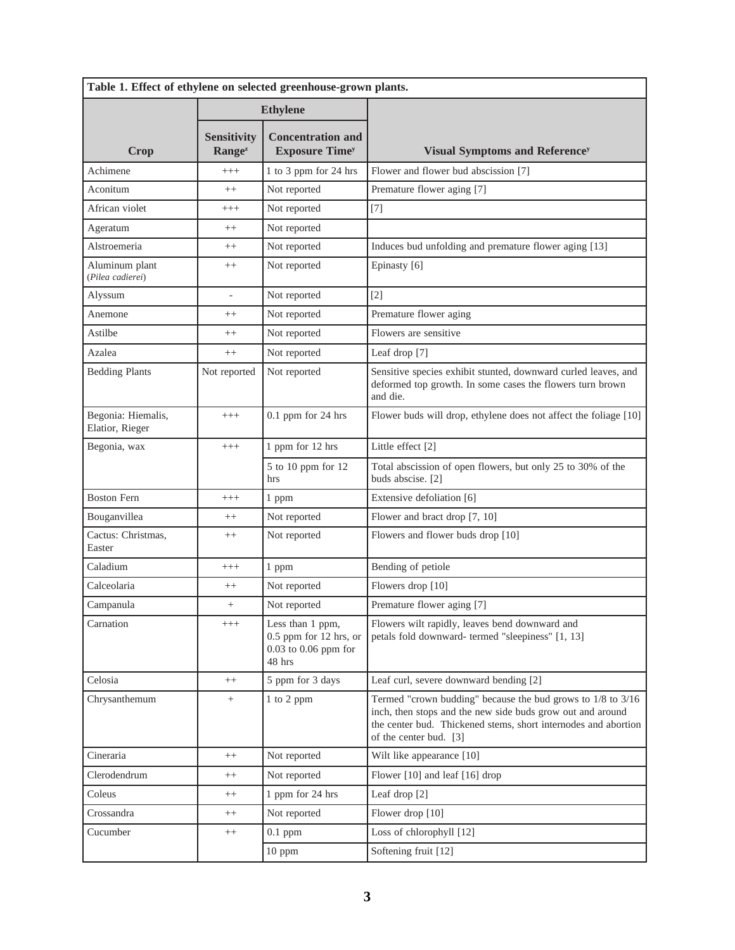| Table 1. Effect of ethylene on selected greenhouse-grown plants. |                                          |                                                                                    |                                                                                                                                                                                                                           |  |
|------------------------------------------------------------------|------------------------------------------|------------------------------------------------------------------------------------|---------------------------------------------------------------------------------------------------------------------------------------------------------------------------------------------------------------------------|--|
|                                                                  | <b>Ethylene</b>                          |                                                                                    |                                                                                                                                                                                                                           |  |
| Crop                                                             | <b>Sensitivity</b><br>Range <sup>z</sup> | <b>Concentration and</b><br><b>Exposure Time<sup>y</sup></b>                       | Visual Symptoms and Reference <sup>y</sup>                                                                                                                                                                                |  |
| Achimene                                                         | $+++$                                    | 1 to 3 ppm for 24 hrs                                                              | Flower and flower bud abscission [7]                                                                                                                                                                                      |  |
| Aconitum                                                         | $++$                                     | Not reported                                                                       | Premature flower aging [7]                                                                                                                                                                                                |  |
| African violet                                                   | $^{+++}$                                 | Not reported                                                                       | $[7]$                                                                                                                                                                                                                     |  |
| Ageratum                                                         | $^{++}$                                  | Not reported                                                                       |                                                                                                                                                                                                                           |  |
| Alstroemeria                                                     | $^{++}$                                  | Not reported                                                                       | Induces bud unfolding and premature flower aging [13]                                                                                                                                                                     |  |
| Aluminum plant<br>(Pilea cadierei)                               | $^{++}$                                  | Not reported                                                                       | Epinasty [6]                                                                                                                                                                                                              |  |
| Alyssum                                                          | ÷,                                       | Not reported                                                                       | $\lceil 2 \rceil$                                                                                                                                                                                                         |  |
| Anemone                                                          | $^{++}$                                  | Not reported                                                                       | Premature flower aging                                                                                                                                                                                                    |  |
| Astilbe                                                          | $^{++}$                                  | Not reported                                                                       | Flowers are sensitive                                                                                                                                                                                                     |  |
| Azalea                                                           | $^{++}$                                  | Not reported                                                                       | Leaf drop [7]                                                                                                                                                                                                             |  |
| <b>Bedding Plants</b>                                            | Not reported                             | Not reported                                                                       | Sensitive species exhibit stunted, downward curled leaves, and<br>deformed top growth. In some cases the flowers turn brown<br>and die.                                                                                   |  |
| Begonia: Hiemalis,<br>Elatior, Rieger                            | $+++$                                    | $0.1$ ppm for 24 hrs                                                               | Flower buds will drop, ethylene does not affect the foliage [10]                                                                                                                                                          |  |
| Begonia, wax                                                     | $^{+++}$                                 | 1 ppm for 12 hrs                                                                   | Little effect [2]                                                                                                                                                                                                         |  |
|                                                                  |                                          | 5 to 10 ppm for 12<br>hrs                                                          | Total abscission of open flowers, but only 25 to 30% of the<br>buds abscise. [2]                                                                                                                                          |  |
| <b>Boston Fern</b>                                               | $^{+++}$                                 | 1 ppm                                                                              | Extensive defoliation [6]                                                                                                                                                                                                 |  |
| Bouganvillea                                                     | $++$                                     | Not reported                                                                       | Flower and bract drop [7, 10]                                                                                                                                                                                             |  |
| Cactus: Christmas,<br>Easter                                     | $++$                                     | Not reported                                                                       | Flowers and flower buds drop [10]                                                                                                                                                                                         |  |
| Caladium                                                         | $^{+++}$                                 | 1 ppm                                                                              | Bending of petiole                                                                                                                                                                                                        |  |
| Calceolaria                                                      | $^{++}$                                  | Not reported                                                                       | Flowers drop [10]                                                                                                                                                                                                         |  |
| Campanula                                                        | $+$                                      | Not reported                                                                       | Premature flower aging [7]                                                                                                                                                                                                |  |
| Carnation                                                        | $^{+++}$                                 | Less than 1 ppm,<br>$0.5$ ppm for 12 hrs, or<br>$0.03$ to $0.06$ ppm for<br>48 hrs | Flowers wilt rapidly, leaves bend downward and<br>petals fold downward- termed "sleepiness" [1, 13]                                                                                                                       |  |
| Celosia                                                          | $^{++}$                                  | 5 ppm for 3 days                                                                   | Leaf curl, severe downward bending [2]                                                                                                                                                                                    |  |
| Chrysanthemum                                                    | $^{+}$                                   | 1 to 2 ppm                                                                         | Termed "crown budding" because the bud grows to $1/8$ to $3/16$<br>inch, then stops and the new side buds grow out and around<br>the center bud. Thickened stems, short internodes and abortion<br>of the center bud. [3] |  |
| Cineraria                                                        | $^{++}$                                  | Not reported                                                                       | Wilt like appearance [10]                                                                                                                                                                                                 |  |
| Clerodendrum                                                     | $^{++}$                                  | Not reported                                                                       | Flower [10] and leaf [16] drop                                                                                                                                                                                            |  |
| Coleus                                                           | $++$                                     | 1 ppm for 24 hrs                                                                   | Leaf drop [2]                                                                                                                                                                                                             |  |
| Crossandra                                                       | $++$                                     | Not reported                                                                       | Flower drop $[10]$                                                                                                                                                                                                        |  |
| Cucumber                                                         | $++$                                     | $0.1$ ppm                                                                          | Loss of chlorophyll [12]                                                                                                                                                                                                  |  |
|                                                                  |                                          | 10 ppm                                                                             | Softening fruit [12]                                                                                                                                                                                                      |  |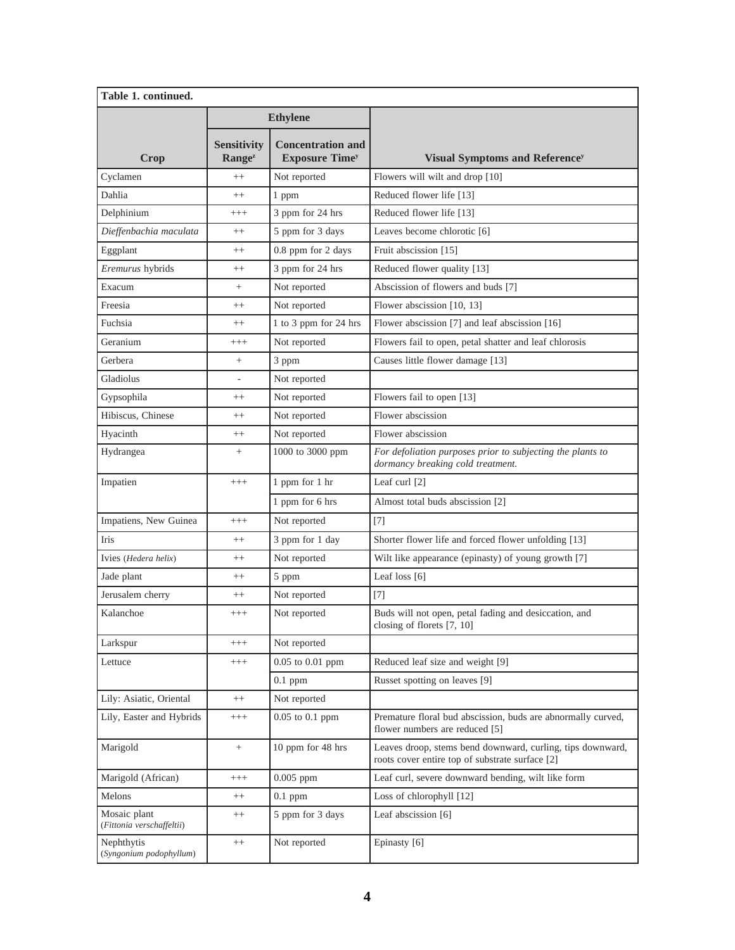| Table 1. continued.                       |                                                 |                                                   |                                                                                                               |  |
|-------------------------------------------|-------------------------------------------------|---------------------------------------------------|---------------------------------------------------------------------------------------------------------------|--|
|                                           | <b>Ethylene</b>                                 |                                                   |                                                                                                               |  |
| Crop                                      | <b>Sensitivity</b><br><b>Range</b> <sup>z</sup> | <b>Concentration and</b><br><b>Exposure Timey</b> | <b>Visual Symptoms and Reference<sup>y</sup></b>                                                              |  |
| Cyclamen                                  | $++$                                            | Not reported                                      | Flowers will wilt and drop [10]                                                                               |  |
| Dahlia                                    | $^{++}$                                         | 1 ppm                                             | Reduced flower life [13]                                                                                      |  |
| Delphinium                                | $^{+++}$                                        | 3 ppm for 24 hrs                                  | Reduced flower life [13]                                                                                      |  |
| Dieffenbachia maculata                    | $^{++}$                                         | 5 ppm for 3 days                                  | Leaves become chlorotic [6]                                                                                   |  |
| Eggplant                                  | $^{++}$                                         | 0.8 ppm for 2 days                                | Fruit abscission [15]                                                                                         |  |
| Eremurus hybrids                          | $++$                                            | 3 ppm for 24 hrs                                  | Reduced flower quality [13]                                                                                   |  |
| Exacum                                    |                                                 | Not reported                                      | Abscission of flowers and buds [7]                                                                            |  |
| Freesia                                   | $^{++}$                                         | Not reported                                      | Flower abscission [10, 13]                                                                                    |  |
| Fuchsia                                   | $^{++}$                                         | 1 to 3 ppm for 24 hrs                             | Flower abscission [7] and leaf abscission [16]                                                                |  |
| Geranium                                  | $+++$                                           | Not reported                                      | Flowers fail to open, petal shatter and leaf chlorosis                                                        |  |
| Gerbera                                   | $^{+}$                                          | 3 ppm                                             | Causes little flower damage [13]                                                                              |  |
| Gladiolus                                 |                                                 | Not reported                                      |                                                                                                               |  |
| Gypsophila                                | $^{++}$                                         | Not reported                                      | Flowers fail to open [13]                                                                                     |  |
| Hibiscus, Chinese                         | $^{++}$                                         | Not reported                                      | Flower abscission                                                                                             |  |
| Hyacinth                                  | $^{++}$                                         | Not reported                                      | Flower abscission                                                                                             |  |
| Hydrangea                                 | $+$                                             | 1000 to 3000 ppm                                  | For defoliation purposes prior to subjecting the plants to<br>dormancy breaking cold treatment.               |  |
| Impatien                                  | $^{+++}$                                        | 1 ppm for 1 hr                                    | Leaf curl $[2]$                                                                                               |  |
|                                           |                                                 | 1 ppm for 6 hrs                                   | Almost total buds abscission [2]                                                                              |  |
| Impatiens, New Guinea                     | $^{+++}$                                        | Not reported                                      | $[7]$                                                                                                         |  |
| Iris                                      | $++$                                            | 3 ppm for 1 day                                   | Shorter flower life and forced flower unfolding [13]                                                          |  |
| Ivies (Hedera helix)                      | $++$                                            | Not reported                                      | Wilt like appearance (epinasty) of young growth [7]                                                           |  |
| Jade plant                                | $^{++}$                                         | 5 ppm                                             | Leaf loss [6]                                                                                                 |  |
| Jerusalem cherry                          | $^{++}$                                         | Not reported                                      | $[7]$                                                                                                         |  |
| Kalanchoe                                 | $^{+++}$                                        | Not reported                                      | Buds will not open, petal fading and desiccation, and<br>closing of florets [7, 10]                           |  |
| Larkspur                                  | $^{+++}$                                        | Not reported                                      |                                                                                                               |  |
| Lettuce                                   | $^{+++}$                                        | 0.05 to 0.01 ppm                                  | Reduced leaf size and weight [9]                                                                              |  |
|                                           |                                                 | $0.1$ ppm                                         | Russet spotting on leaves [9]                                                                                 |  |
| Lily: Asiatic, Oriental                   | $^{++}$                                         | Not reported                                      |                                                                                                               |  |
| Lily, Easter and Hybrids                  | $^{+++}$                                        | $0.05$ to $0.1$ ppm                               | Premature floral bud abscission, buds are abnormally curved,<br>flower numbers are reduced [5]                |  |
| Marigold                                  | $\! + \!$                                       | 10 ppm for 48 hrs                                 | Leaves droop, stems bend downward, curling, tips downward,<br>roots cover entire top of substrate surface [2] |  |
| Marigold (African)                        | $+++$                                           | $0.005$ ppm                                       | Leaf curl, severe downward bending, wilt like form                                                            |  |
| Melons                                    | $++$                                            | $0.1$ ppm                                         | Loss of chlorophyll [12]                                                                                      |  |
| Mosaic plant<br>(Fittonia verschaffeltii) | $++$                                            | 5 ppm for 3 days                                  | Leaf abscission [6]                                                                                           |  |
| Nephthytis<br>(Syngonium podophyllum)     | $^{++}$                                         | Not reported                                      | Epinasty [6]                                                                                                  |  |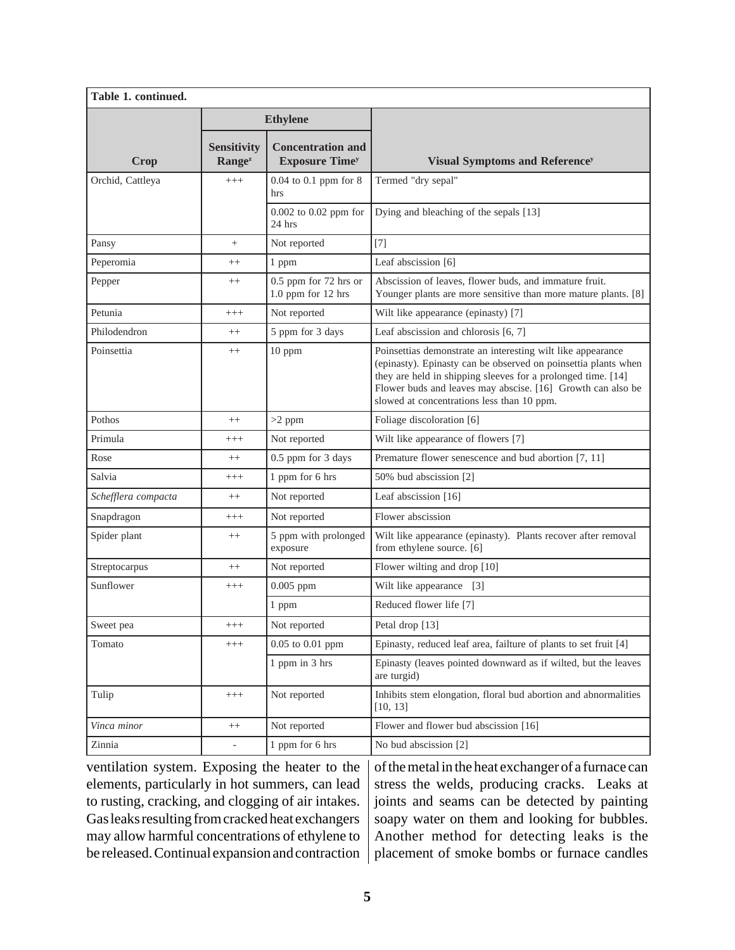| Table 1. continued. |                                          |                                                              |                                                                                                                                                                                                                                                                                                            |  |
|---------------------|------------------------------------------|--------------------------------------------------------------|------------------------------------------------------------------------------------------------------------------------------------------------------------------------------------------------------------------------------------------------------------------------------------------------------------|--|
|                     | <b>Ethylene</b>                          |                                                              |                                                                                                                                                                                                                                                                                                            |  |
| Crop                | <b>Sensitivity</b><br>Range <sup>z</sup> | <b>Concentration and</b><br><b>Exposure Time<sup>y</sup></b> | <b>Visual Symptoms and Reference<sup>y</sup></b>                                                                                                                                                                                                                                                           |  |
| Orchid, Cattleya    | $^{+++}$                                 | $0.04$ to $0.1$ ppm for $8$<br>hrs                           | Termed "dry sepal"                                                                                                                                                                                                                                                                                         |  |
|                     |                                          | 0.002 to 0.02 ppm for<br>24 hrs                              | Dying and bleaching of the sepals [13]                                                                                                                                                                                                                                                                     |  |
| Pansy               | $^{+}$                                   | Not reported                                                 | $[7]$                                                                                                                                                                                                                                                                                                      |  |
| Peperomia           | $^{++}$                                  | 1 ppm                                                        | Leaf abscission [6]                                                                                                                                                                                                                                                                                        |  |
| Pepper              | $^{++}$                                  | 0.5 ppm for 72 hrs or<br>1.0 ppm for 12 hrs                  | Abscission of leaves, flower buds, and immature fruit.<br>Younger plants are more sensitive than more mature plants. [8]                                                                                                                                                                                   |  |
| Petunia             | $^{+++}$                                 | Not reported                                                 | Wilt like appearance (epinasty) [7]                                                                                                                                                                                                                                                                        |  |
| Philodendron        | $++$                                     | 5 ppm for 3 days                                             | Leaf abscission and chlorosis [6, 7]                                                                                                                                                                                                                                                                       |  |
| Poinsettia          | $^{++}$                                  | 10 ppm                                                       | Poinsettias demonstrate an interesting wilt like appearance<br>(epinasty). Epinasty can be observed on poinsettia plants when<br>they are held in shipping sleeves for a prolonged time. [14]<br>Flower buds and leaves may abscise. [16] Growth can also be<br>slowed at concentrations less than 10 ppm. |  |
| Pothos              | $++$                                     | $>2$ ppm                                                     | Foliage discoloration [6]                                                                                                                                                                                                                                                                                  |  |
| Primula             | $^{+++}$                                 | Not reported                                                 | Wilt like appearance of flowers [7]                                                                                                                                                                                                                                                                        |  |
| Rose                | $^{++}$                                  | 0.5 ppm for 3 days                                           | Premature flower senescence and bud abortion [7, 11]                                                                                                                                                                                                                                                       |  |
| Salvia              | $^{+++}$                                 | 1 ppm for 6 hrs                                              | 50% bud abscission [2]                                                                                                                                                                                                                                                                                     |  |
| Schefflera compacta | $^{++}$                                  | Not reported                                                 | Leaf abscission $[16]$                                                                                                                                                                                                                                                                                     |  |
| Snapdragon          | $^{+++}$                                 | Not reported                                                 | Flower abscission                                                                                                                                                                                                                                                                                          |  |
| Spider plant        | $^{++}$                                  | 5 ppm with prolonged<br>exposure                             | Wilt like appearance (epinasty). Plants recover after removal<br>from ethylene source. [6]                                                                                                                                                                                                                 |  |
| Streptocarpus       | $^{++}$                                  | Not reported                                                 | Flower wilting and drop [10]                                                                                                                                                                                                                                                                               |  |
| Sunflower           | $^{+++}$                                 | $0.005$ ppm                                                  | Wilt like appearance [3]                                                                                                                                                                                                                                                                                   |  |
|                     |                                          | 1 ppm                                                        | Reduced flower life [7]                                                                                                                                                                                                                                                                                    |  |
| Sweet pea           | $^{+++}$                                 | Not reported                                                 | Petal drop [13]                                                                                                                                                                                                                                                                                            |  |
| Tomato              | $^{+++}$                                 | 0.05 to 0.01 ppm                                             | Epinasty, reduced leaf area, failture of plants to set fruit [4]                                                                                                                                                                                                                                           |  |
|                     |                                          | 1 ppm in 3 hrs                                               | Epinasty (leaves pointed downward as if wilted, but the leaves<br>are turgid)                                                                                                                                                                                                                              |  |
| Tulip               | $^{+++}$                                 | Not reported                                                 | Inhibits stem elongation, floral bud abortion and abnormalities<br>[10, 13]                                                                                                                                                                                                                                |  |
| Vinca minor         | $++$                                     | Not reported                                                 | Flower and flower bud abscission [16]                                                                                                                                                                                                                                                                      |  |
| Zinnia              | $\overline{\phantom{0}}$                 | 1 ppm for 6 hrs                                              | No bud abscission [2]                                                                                                                                                                                                                                                                                      |  |

ventilation system. Exposing the heater to the elements, particularly in hot summers, can lead to rusting, cracking, and clogging of air intakes. Gas leaks resulting from cracked heat exchangers may allow harmful concentrations of ethylene to be released. Continual expansion and contraction

of the metal in the heat exchanger of a furnace can stress the welds, producing cracks. Leaks at joints and seams can be detected by painting soapy water on them and looking for bubbles. Another method for detecting leaks is the placement of smoke bombs or furnace candles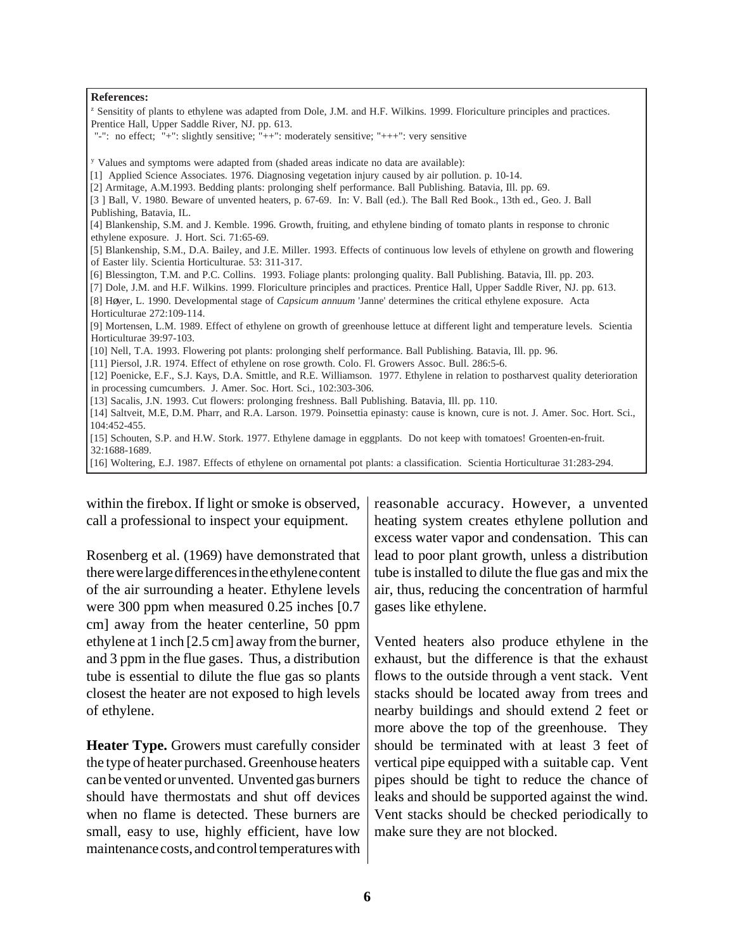#### **References:**

<sup>z</sup> Sensitity of plants to ethylene was adapted from Dole, J.M. and H.F. Wilkins. 1999. Floriculture principles and practices. Prentice Hall, Upper Saddle River, NJ. pp. 613.

"-": no effect; "+": slightly sensitive; "++": moderately sensitive; "+++": very sensitive

<sup>y</sup> Values and symptoms were adapted from (shaded areas indicate no data are available):

- [1] Applied Science Associates. 1976. Diagnosing vegetation injury caused by air pollution. p. 10-14.
- [2] Armitage, A.M.1993. Bedding plants: prolonging shelf performance. Ball Publishing. Batavia, Ill. pp. 69.

[4] Blankenship, S.M. and J. Kemble. 1996. Growth, fruiting, and ethylene binding of tomato plants in response to chronic ethylene exposure. J. Hort. Sci. 71:65-69.

[5] Blankenship, S.M., D.A. Bailey, and J.E. Miller. 1993. Effects of continuous low levels of ethylene on growth and flowering of Easter lily. Scientia Horticulturae. 53: 311-317.

[6] Blessington, T.M. and P.C. Collins. 1993. Foliage plants: prolonging quality. Ball Publishing. Batavia, Ill. pp. 203.

[7] Dole, J.M. and H.F. Wilkins. 1999. Floriculture principles and practices. Prentice Hall, Upper Saddle River, NJ. pp. 613.

[8] Høyer, L. 1990. Developmental stage of *Capsicum annuum* 'Janne' determines the critical ethylene exposure. Acta Horticulturae 272:109-114.

[9] Mortensen, L.M. 1989. Effect of ethylene on growth of greenhouse lettuce at different light and temperature levels. Scientia Horticulturae 39:97-103.

[10] Nell, T.A. 1993. Flowering pot plants: prolonging shelf performance. Ball Publishing. Batavia, Ill. pp. 96.

[11] Piersol, J.R. 1974. Effect of ethylene on rose growth. Colo. Fl. Growers Assoc. Bull. 286:5-6.

[12] Poenicke, E.F., S.J. Kays, D.A. Smittle, and R.E. Williamson. 1977. Ethylene in relation to postharvest quality deterioration in processing cumcumbers. J. Amer. Soc. Hort. Sci., 102:303-306.

[13] Sacalis, J.N. 1993. Cut flowers: prolonging freshness. Ball Publishing. Batavia, Ill. pp. 110.

[14] Saltveit, M.E, D.M. Pharr, and R.A. Larson. 1979. Poinsettia epinasty: cause is known, cure is not. J. Amer. Soc. Hort. Sci., 104:452-455.

[15] Schouten, S.P. and H.W. Stork. 1977. Ethylene damage in eggplants. Do not keep with tomatoes! Groenten-en-fruit. 32:1688-1689.

[16] Woltering, E.J. 1987. Effects of ethylene on ornamental pot plants: a classification. Scientia Horticulturae 31:283-294.

within the firebox. If light or smoke is observed, call a professional to inspect your equipment.

Rosenberg et al. (1969) have demonstrated that there were large differences in the ethylene content of the air surrounding a heater. Ethylene levels were 300 ppm when measured 0.25 inches [0.7 cm] away from the heater centerline, 50 ppm ethylene at 1 inch [2.5 cm] away from the burner, and 3 ppm in the flue gases. Thus, a distribution tube is essential to dilute the flue gas so plants closest the heater are not exposed to high levels of ethylene.

**Heater Type.** Growers must carefully consider the type of heater purchased. Greenhouse heaters can be vented or unvented. Unvented gas burners should have thermostats and shut off devices when no flame is detected. These burners are small, easy to use, highly efficient, have low maintenance costs, and control temperatures with reasonable accuracy. However, a unvented heating system creates ethylene pollution and excess water vapor and condensation. This can lead to poor plant growth, unless a distribution tube is installed to dilute the flue gas and mix the air, thus, reducing the concentration of harmful gases like ethylene.

Vented heaters also produce ethylene in the exhaust, but the difference is that the exhaust flows to the outside through a vent stack. Vent stacks should be located away from trees and nearby buildings and should extend 2 feet or more above the top of the greenhouse. They should be terminated with at least 3 feet of vertical pipe equipped with a suitable cap. Vent pipes should be tight to reduce the chance of leaks and should be supported against the wind. Vent stacks should be checked periodically to make sure they are not blocked.

<sup>[3</sup> ] Ball, V. 1980. Beware of unvented heaters, p. 67-69. In: V. Ball (ed.). The Ball Red Book., 13th ed., Geo. J. Ball Publishing, Batavia, IL.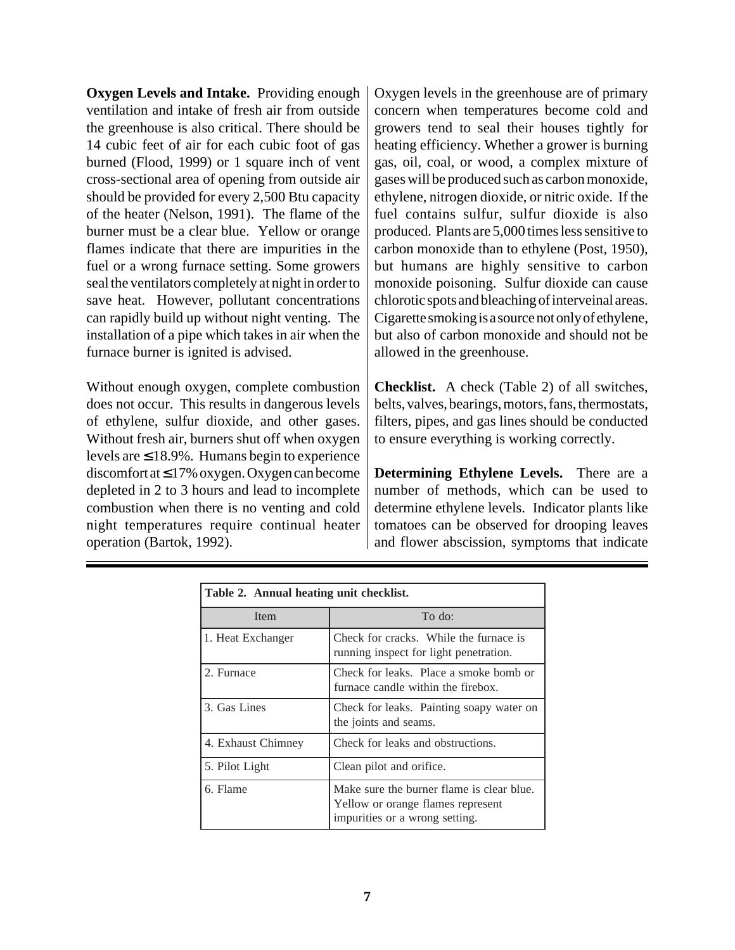**Oxygen Levels and Intake.** Providing enough ventilation and intake of fresh air from outside the greenhouse is also critical. There should be 14 cubic feet of air for each cubic foot of gas burned (Flood, 1999) or 1 square inch of vent cross-sectional area of opening from outside air should be provided for every 2,500 Btu capacity of the heater (Nelson, 1991). The flame of the burner must be a clear blue. Yellow or orange flames indicate that there are impurities in the fuel or a wrong furnace setting. Some growers seal the ventilators completely at night in order to save heat. However, pollutant concentrations can rapidly build up without night venting. The installation of a pipe which takes in air when the furnace burner is ignited is advised.

Without enough oxygen, complete combustion does not occur. This results in dangerous levels of ethylene, sulfur dioxide, and other gases. Without fresh air, burners shut off when oxygen levels are  $\leq 18.9\%$ . Humans begin to experience discomfort at ≤ 17% oxygen. Oxygen can become depleted in 2 to 3 hours and lead to incomplete combustion when there is no venting and cold night temperatures require continual heater operation (Bartok, 1992).

Oxygen levels in the greenhouse are of primary concern when temperatures become cold and growers tend to seal their houses tightly for heating efficiency. Whether a grower is burning gas, oil, coal, or wood, a complex mixture of gases will be produced such as carbon monoxide, ethylene, nitrogen dioxide, or nitric oxide. If the fuel contains sulfur, sulfur dioxide is also produced. Plants are 5,000 times less sensitive to carbon monoxide than to ethylene (Post, 1950), but humans are highly sensitive to carbon monoxide poisoning. Sulfur dioxide can cause chlorotic spots and bleaching of interveinal areas. Cigarette smoking is a source not only of ethylene, but also of carbon monoxide and should not be allowed in the greenhouse.

**Checklist.** A check (Table 2) of all switches, belts, valves, bearings, motors, fans, thermostats, filters, pipes, and gas lines should be conducted to ensure everything is working correctly.

**Determining Ethylene Levels.** There are a number of methods, which can be used to determine ethylene levels. Indicator plants like tomatoes can be observed for drooping leaves and flower abscission, symptoms that indicate

| Table 2. Annual heating unit checklist. |                                                                                                                  |  |  |  |
|-----------------------------------------|------------------------------------------------------------------------------------------------------------------|--|--|--|
| Item                                    | To do:                                                                                                           |  |  |  |
| 1. Heat Exchanger                       | Check for cracks. While the furnace is<br>running inspect for light penetration.                                 |  |  |  |
| 2. Furnace                              | Check for leaks. Place a smoke bomb or<br>furnace candle within the firebox.                                     |  |  |  |
| 3. Gas Lines                            | Check for leaks. Painting soapy water on<br>the joints and seams.                                                |  |  |  |
| 4. Exhaust Chimney                      | Check for leaks and obstructions.                                                                                |  |  |  |
| 5. Pilot Light                          | Clean pilot and orifice.                                                                                         |  |  |  |
| 6. Flame                                | Make sure the burner flame is clear blue.<br>Yellow or orange flames represent<br>impurities or a wrong setting. |  |  |  |